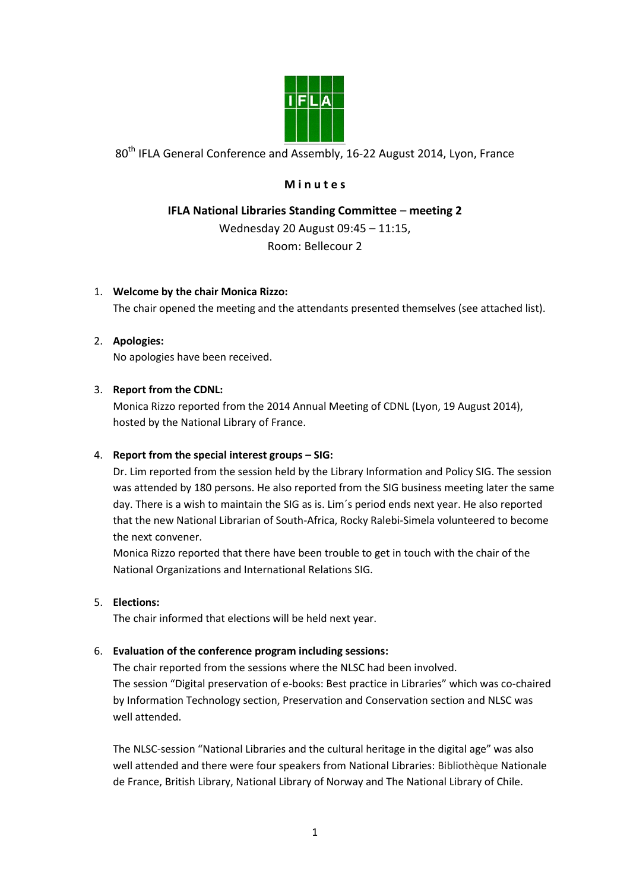

80<sup>th</sup> IFLA General Conference and Assembly, 16-22 August 2014, Lyon, France

# **M i n u t e s**

# **IFLA National Libraries Standing Committee** – **meeting 2**

Wednesday 20 August 09:45 – 11:15,

Room: Bellecour 2

## 1. **Welcome by the chair Monica Rizzo:**

The chair opened the meeting and the attendants presented themselves (see attached list).

## 2. **Apologies:**

No apologies have been received.

## 3. **Report from the CDNL:**

Monica Rizzo reported from the 2014 Annual Meeting of CDNL (Lyon, 19 August 2014), hosted by the National Library of France.

## 4. **Report from the special interest groups – SIG:**

Dr. Lim reported from the session held by the Library Information and Policy SIG. The session was attended by 180 persons. He also reported from the SIG business meeting later the same day. There is a wish to maintain the SIG as is. Lim´s period ends next year. He also reported that the new National Librarian of South-Africa, Rocky Ralebi-Simela volunteered to become the next convener.

Monica Rizzo reported that there have been trouble to get in touch with the chair of the National Organizations and International Relations SIG.

## 5. **Elections:**

The chair informed that elections will be held next year.

## 6. **Evaluation of the conference program including sessions:**

The chair reported from the sessions where the NLSC had been involved. The session "Digital preservation of e-books: Best practice in Libraries" which was co-chaired by Information Technology section, Preservation and Conservation section and NLSC was well attended.

The NLSC-session "National Libraries and the cultural heritage in the digital age" was also well attended and there were four speakers from National Libraries: Bibliothèque Nationale de France, British Library, National Library of Norway and The National Library of Chile.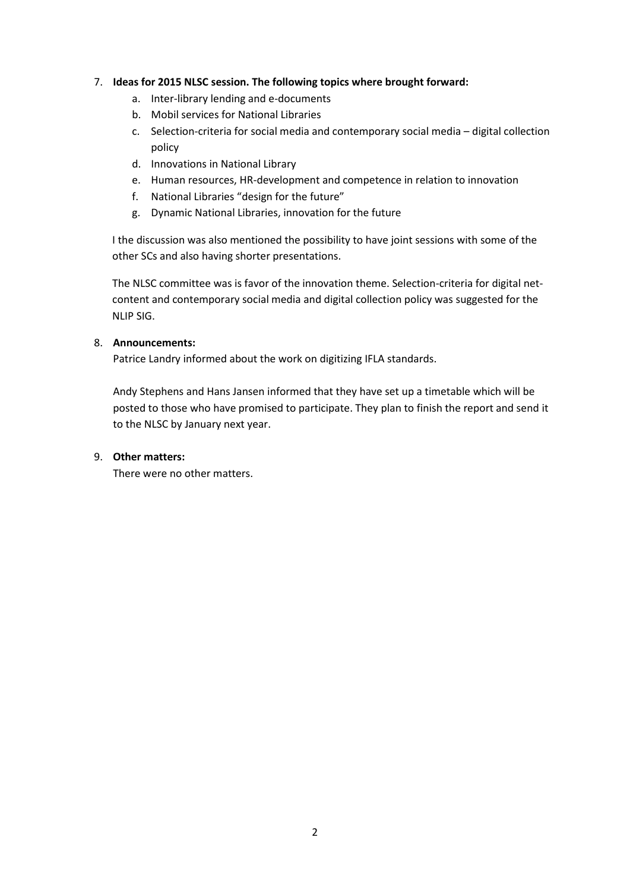#### 7. **Ideas for 2015 NLSC session. The following topics where brought forward:**

- a. Inter-library lending and e-documents
- b. Mobil services for National Libraries
- c. Selection-criteria for social media and contemporary social media digital collection policy
- d. Innovations in National Library
- e. Human resources, HR-development and competence in relation to innovation
- f. National Libraries "design for the future"
- g. Dynamic National Libraries, innovation for the future

I the discussion was also mentioned the possibility to have joint sessions with some of the other SCs and also having shorter presentations.

The NLSC committee was is favor of the innovation theme. Selection-criteria for digital netcontent and contemporary social media and digital collection policy was suggested for the NLIP SIG.

#### 8. **Announcements:**

Patrice Landry informed about the work on digitizing IFLA standards.

Andy Stephens and Hans Jansen informed that they have set up a timetable which will be posted to those who have promised to participate. They plan to finish the report and send it to the NLSC by January next year.

#### 9. **Other matters:**

There were no other matters.